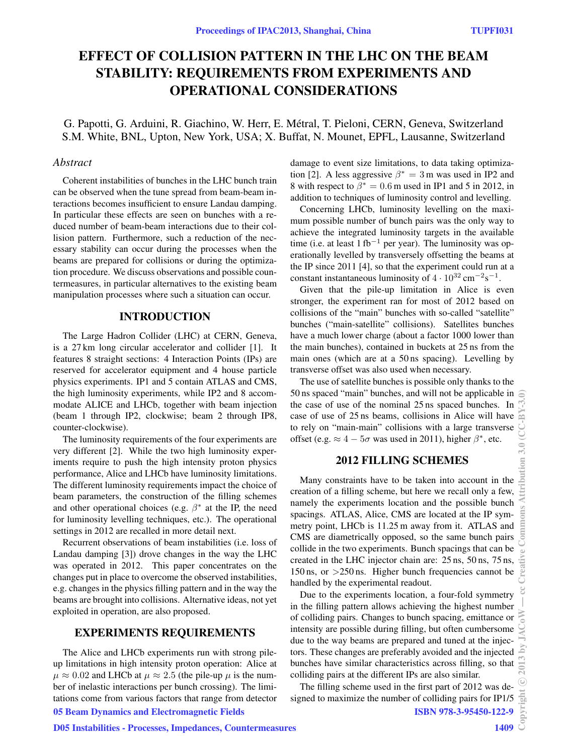# EFFECT OF COLLISION PATTERN IN THE LHC ON THE BEAM STABILITY: REQUIREMENTS FROM EXPERIMENTS AND OPERATIONAL CONSIDERATIONS

G. Papotti, G. Arduini, R. Giachino, W. Herr, E. Metral, T. Pieloni, CERN, Geneva, Switzerland ´ S.M. White, BNL, Upton, New York, USA; X. Buffat, N. Mounet, EPFL, Lausanne, Switzerland

#### *Abstract*

Coherent instabilities of bunches in the LHC bunch train can be observed when the tune spread from beam-beam interactions becomes insufficient to ensure Landau damping. In particular these effects are seen on bunches with a reduced number of beam-beam interactions due to their collision pattern. Furthermore, such a reduction of the necessary stability can occur during the processes when the beams are prepared for collisions or during the optimization procedure. We discuss observations and possible countermeasures, in particular alternatives to the existing beam manipulation processes where such a situation can occur.

#### INTRODUCTION

The Large Hadron Collider (LHC) at CERN, Geneva, is a 27 km long circular accelerator and collider [1]. It features 8 straight sections: 4 Interaction Points (IPs) are reserved for accelerator equipment and 4 house particle physics experiments. IP1 and 5 contain ATLAS and CMS, the high luminosity experiments, while IP2 and 8 accommodate ALICE and LHCb, together with beam injection (beam 1 through IP2, clockwise; beam 2 through IP8, counter-clockwise).

The luminosity requirements of the four experiments are very different [2]. While the two high luminosity experiments require to push the high intensity proton physics performance, Alice and LHCb have luminosity limitations. The different luminosity requirements impact the choice of beam parameters, the construction of the filling schemes and other operational choices (e.g.  $\beta^*$  at the IP, the need for luminosity levelling techniques, etc.). The operational settings in 2012 are recalled in more detail next.

Recurrent observations of beam instabilities (i.e. loss of Landau damping [3]) drove changes in the way the LHC was operated in 2012. This paper concentrates on the changes put in place to overcome the observed instabilities, e.g. changes in the physics filling pattern and in the way the beams are brought into collisions. Alternative ideas, not yet exploited in operation, are also proposed.

## EXPERIMENTS REQUIREMENTS

The Alice and LHCb experiments run with strong pileup limitations in high intensity proton operation: Alice at  $\mu \approx 0.02$  and LHCb at  $\mu \approx 2.5$  (the pile-up  $\mu$  is the number of inelastic interactions per bunch crossing). The limitations come from various factors that range from detector damage to event size limitations, to data taking optimization [2]. A less aggressive  $\beta^* = 3$  m was used in IP2 and 8 with respect to  $\beta^* = 0.6$  m used in IP1 and 5 in 2012, in addition to techniques of luminosity control and levelling.

Concerning LHCb, luminosity levelling on the maximum possible number of bunch pairs was the only way to achieve the integrated luminosity targets in the available time (i.e. at least 1 fb<sup>-1</sup> per year). The luminosity was operationally levelled by transversely offsetting the beams at the IP since 2011 [4], so that the experiment could run at a constant instantaneous luminosity of  $4 \cdot 10^{32}$  cm<sup>-2</sup>s<sup>-1</sup>.

Given that the pile-up limitation in Alice is even stronger, the experiment ran for most of 2012 based on collisions of the "main" bunches with so-called "satellite" bunches ("main-satellite" collisions). Satellites bunches have a much lower charge (about a factor 1000 lower than the main bunches), contained in buckets at 25 ns from the main ones (which are at a 50 ns spacing). Levelling by transverse offset was also used when necessary.

The use of satellite bunches is possible only thanks to the 50 ns spaced "main" bunches, and will not be applicable in  $\epsilon$ the case of use of the nominal 25 ns spaced bunches. In case of use of 25 ns beams, collisions in Alice will have to rely on "main-main" collisions with a large transverse offset (e.g.  $\approx 4-5\sigma$  was used in 2011), higher  $\beta^*$ , etc.

#### 2012 FILLING SCHEMES

Many constraints have to be taken into account in the creation of a filling scheme, but here we recall only a few, namely the experiments location and the possible bunch spacings. ATLAS, Alice, CMS are located at the IP symmetry point, LHCb is 11.25 m away from it. ATLAS and CMS are diametrically opposed, so the same bunch pairs collide in the two experiments. Bunch spacings that can be created in the LHC injector chain are: 25 ns, 50 ns, 75 ns,  $150 \text{ ns}$ , or  $>250 \text{ ns}$ . Higher bunch frequencies cannot be handled by the experimental readout.

Due to the experiments location, a four-fold symmetry in the filling pattern allows achieving the highest number of colliding pairs. Changes to bunch spacing, emittance or intensity are possible during filling, but often cumbersome due to the way beams are prepared and tuned at the injectors. These changes are preferably avoided and the injected bunches have similar characteristics across filling, so that colliding pairs at the different IPs are also similar.

The filling scheme used in the first part of 2012 was designed to maximize the number of colliding pairs for IP1/5

## 05 Beam Dynamics and Electromagnetic Fields

ISBN 978-3-95450-122-9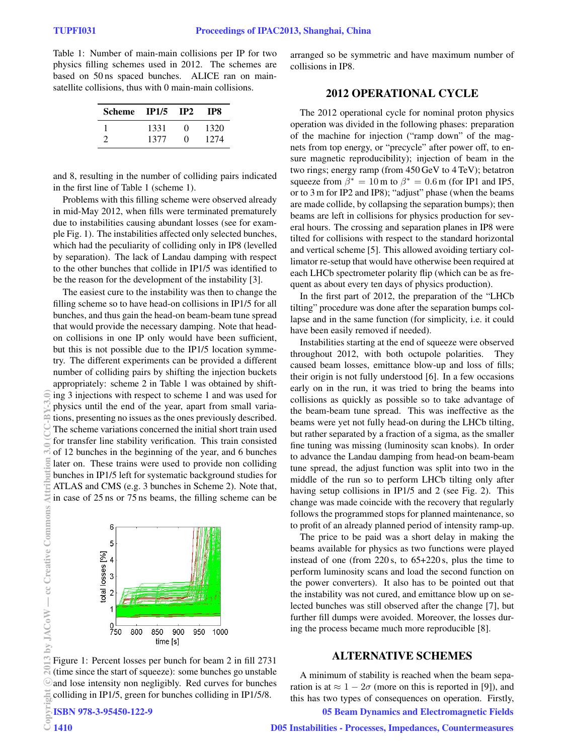Table 1: Number of main-main collisions per IP for two physics filling schemes used in 2012. The schemes are based on 50 ns spaced bunches. ALICE ran on mainsatellite collisions, thus with 0 main-main collisions.

| Scheme IP1/5 |      | IP2          | TP8  |
|--------------|------|--------------|------|
|              | 1331 | $\mathbf{0}$ | 1320 |
|              | 1377 | $\mathbf{0}$ | 1274 |

and 8, resulting in the number of colliding pairs indicated in the first line of Table 1 (scheme 1).

Problems with this filling scheme were observed already in mid-May 2012, when fills were terminated prematurely due to instabilities causing abundant losses (see for example Fig. 1). The instabilities affected only selected bunches, which had the peculiarity of colliding only in IP8 (levelled by separation). The lack of Landau damping with respect to the other bunches that collide in IP1/5 was identified to be the reason for the development of the instability [3].

The easiest cure to the instability was then to change the filling scheme so to have head-on collisions in IP1/5 for all bunches, and thus gain the head-on beam-beam tune spread that would provide the necessary damping. Note that headon collisions in one IP only would have been sufficient, but this is not possible due to the IP1/5 location symmetry. The different experiments can be provided a different number of colliding pairs by shifting the injection buckets appropriately: scheme 2 in Table 1 was obtained by shifting 3 injections with respect to scheme 1 and was used for physics until the end of the year, apart from small variations, presenting no issues as the ones previously described. The scheme variations concerned the initial short train used for transfer line stability verification. This train consisted of 12 bunches in the beginning of the year, and 6 bunches later on. These trains were used to provide non colliding bunches in IP1/5 left for systematic background studies for ATLAS and CMS (e.g. 3 bunches in Scheme 2). Note that, in case of 25 ns or 75 ns beams, the filling scheme can be



Figure 1: Percent losses per bunch for beam 2 in fill 2731 (time since the start of squeeze): some bunches go unstable and lose intensity non negligibly. Red curves for bunches Ecolliding in IP1/5, green for bunches colliding in IP1/5/8.<br>
EISBN 978-3-95450-122-9<br>
O 1410

ISBN 978-3-95450-122-9

arranged so be symmetric and have maximum number of collisions in IP8.

## 2012 OPERATIONAL CYCLE

The 2012 operational cycle for nominal proton physics operation was divided in the following phases: preparation of the machine for injection ("ramp down" of the magnets from top energy, or "precycle" after power off, to ensure magnetic reproducibility); injection of beam in the two rings; energy ramp (from 450 GeV to 4 TeV); betatron squeeze from  $\beta^* = 10$  m to  $\beta^* = 0.6$  m (for IP1 and IP5, or to 3 m for IP2 and IP8); "adjust" phase (when the beams are made collide, by collapsing the separation bumps); then beams are left in collisions for physics production for several hours. The crossing and separation planes in IP8 were tilted for collisions with respect to the standard horizontal and vertical scheme [5]. This allowed avoiding tertiary collimator re-setup that would have otherwise been required at each LHCb spectrometer polarity flip (which can be as frequent as about every ten days of physics production).

In the first part of 2012, the preparation of the "LHCb tilting" procedure was done after the separation bumps collapse and in the same function (for simplicity, i.e. it could have been easily removed if needed).

Instabilities starting at the end of squeeze were observed throughout 2012, with both octupole polarities. They caused beam losses, emittance blow-up and loss of fills; their origin is not fully understood [6]. In a few occasions early on in the run, it was tried to bring the beams into collisions as quickly as possible so to take advantage of the beam-beam tune spread. This was ineffective as the beams were yet not fully head-on during the LHCb tilting, but rather separated by a fraction of a sigma, as the smaller fine tuning was missing (luminosity scan knobs). In order to advance the Landau damping from head-on beam-beam tune spread, the adjust function was split into two in the middle of the run so to perform LHCb tilting only after having setup collisions in IP1/5 and 2 (see Fig. 2). This change was made coincide with the recovery that regularly follows the programmed stops for planned maintenance, so to profit of an already planned period of intensity ramp-up.

The price to be paid was a short delay in making the beams available for physics as two functions were played instead of one (from 220 s, to 65+220 s, plus the time to perform luminosity scans and load the second function on the power converters). It also has to be pointed out that the instability was not cured, and emittance blow up on selected bunches was still observed after the change [7], but further fill dumps were avoided. Moreover, the losses during the process became much more reproducible [8].

#### ALTERNATIVE SCHEMES

A minimum of stability is reached when the beam separation is at  $\approx 1 - 2\sigma$  (more on this is reported in [9]), and this has two types of consequences on operation. Firstly,

05 Beam Dynamics and Electromagnetic Fields

€